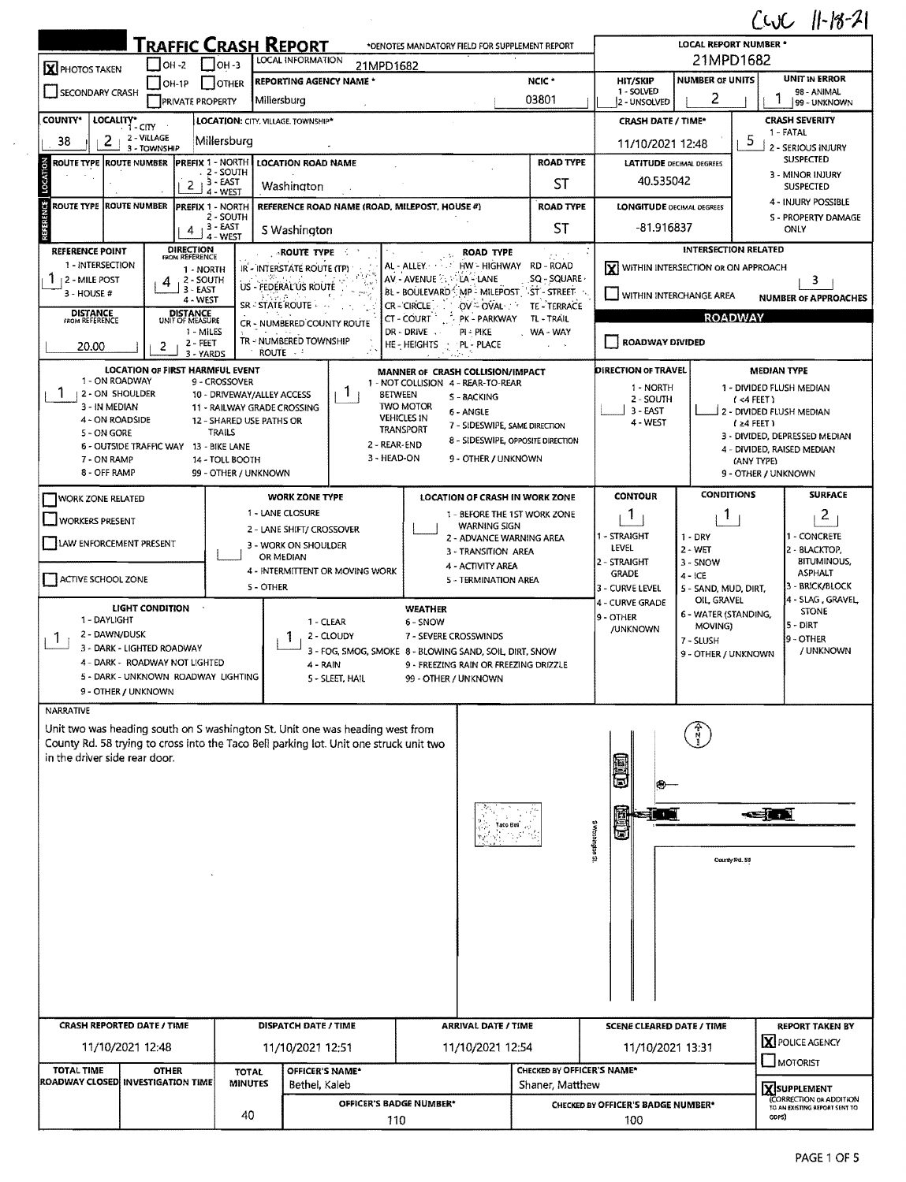## $C_M C_L$  11-18-21

|                                          |                                        | <b>TRAFFIC CRASH REPORT</b>        |                                             |               |                                                                                                                                                                         | *OENOTES MANDATORY FIELD FOR SUPPLEMENT REPORT | しいし<br>$1110$ $C1$<br><b>LOCAL REPORT NUMBER *</b>                                               |                                                     |                                      |                                   |                 |                                                                               |  |  |
|------------------------------------------|----------------------------------------|------------------------------------|---------------------------------------------|---------------|-------------------------------------------------------------------------------------------------------------------------------------------------------------------------|------------------------------------------------|--------------------------------------------------------------------------------------------------|-----------------------------------------------------|--------------------------------------|-----------------------------------|-----------------|-------------------------------------------------------------------------------|--|--|
| <b>X</b> PHOTOS TAKEN                    | $ OH - 2 $                             |                                    | $ OH - 3 $                                  |               | LOCAL INFORMATION                                                                                                                                                       | 21MPD1682                                      |                                                                                                  |                                                     | 21MPD1682                            |                                   |                 |                                                                               |  |  |
| SECONDARY CRASH                          | $IOH-1P$                               |                                    | OTHER                                       |               | <b>REPORTING AGENCY NAME *</b>                                                                                                                                          |                                                |                                                                                                  | NCIC <sup>*</sup>                                   | <b>HIT/SKIP</b><br>1 - SOLVED        | <b>NUMBER OF UNITS</b>            |                 | <b>UNIT IN ERROR</b><br>98 - ANIMAL                                           |  |  |
|                                          |                                        | <b>PRIVATE PROPERTY</b>            |                                             | Millersburg   |                                                                                                                                                                         |                                                |                                                                                                  | 03801                                               | 2 - UNSOLVED                         | 2                                 |                 | 99 - UNKNOWN                                                                  |  |  |
| <b>COUNTY*</b>                           | LOCALITY* CITY                         |                                    |                                             |               | LOCATION: CITY. VILLAGE. TOWNSHIP*                                                                                                                                      |                                                |                                                                                                  |                                                     | <b>CRASH DATE / TIME*</b>            |                                   |                 | <b>CRASH SEVERITY</b>                                                         |  |  |
| 2<br>38                                  | 2 - VILLAGE<br>3 - TOWNSHIP            |                                    | Millersburg                                 |               |                                                                                                                                                                         |                                                |                                                                                                  | 11/10/2021 12:48                                    | 5.                                   | 1 - FATAL<br>2 - SERIOUS INJURY   |                 |                                                                               |  |  |
| 중<br><b>ROUTE TYPE ROUTE NUMBER</b>      |                                        | <b>PREFIX 1 - NORTH</b>            |                                             |               | LOCATION ROAD NAME                                                                                                                                                      |                                                |                                                                                                  | <b>ROAD TYPE</b><br><b>LATITUDE DECIMAL DEGREES</b> |                                      | <b>SUSPECTED</b>                  |                 |                                                                               |  |  |
|                                          |                                        | 2                                  | . 2 - SOUTH<br>$, 3 - EAST$                 |               | Washington                                                                                                                                                              |                                                |                                                                                                  | ST                                                  | 40.535042                            |                                   |                 | 3 - MINOR INJURY                                                              |  |  |
| ģ<br><b>ROUTE TYPE</b>                   | <b>ROUTE NUMBER</b>                    |                                    | 4 - WEST                                    |               |                                                                                                                                                                         |                                                |                                                                                                  |                                                     |                                      |                                   |                 | <b>SUSPECTED</b><br>4 - INJURY POSSIBLE                                       |  |  |
|                                          |                                        | <b>PREFIX 1 - NORTH</b>            | 2 - SOUTH                                   |               | REFERENCE ROAD NAME (ROAD, MILEPOST, HOUSE #)                                                                                                                           |                                                |                                                                                                  | <b>ROAD TYPE</b>                                    | <b>LONGITUDE DECIMAL DEGREES</b>     |                                   |                 | <b>S - PROPERTY DAMAGE</b>                                                    |  |  |
|                                          |                                        | 4                                  | 3 - EAST<br>4 - WEST                        |               | S Washington                                                                                                                                                            |                                                |                                                                                                  | <b>ST</b>                                           | -81.916837                           |                                   |                 | ONLY                                                                          |  |  |
| <b>REFERENCE POINT</b>                   |                                        | <b>DIRECTION</b><br>FROM REFERENCE |                                             |               | <b>ROUTE TYPE</b>                                                                                                                                                       |                                                | ROAD TYPE                                                                                        |                                                     |                                      | <b>INTERSECTION RELATED</b>       |                 |                                                                               |  |  |
| 1 - INTERSECTION<br>12 - MILE POST       |                                        | 1 - NORTH<br>2 - SOUTH             |                                             |               | IR - INTERSTATE ROUTE (TP)                                                                                                                                              | AL ALLEY<br>AV - AVENUE 25 ×                   | LA - LANE                                                                                        | HW-HIGHWAY RD-ROAD<br>SQ - SQUARE                   | X WITHIN INTERSECTION OR ON APPROACH |                                   |                 | 3                                                                             |  |  |
| 3 - HOUSE #                              |                                        | $3 - EAST$<br>4 - WEST             |                                             |               | US - FEDERAL US ROUTE                                                                                                                                                   |                                                | BL - BOULEVARD <sup>3</sup> , MP - MILEPOST 5T - STREET                                          |                                                     | WITHIN INTERCHANGE AREA              |                                   |                 | <b>NUMBER OF APPROACHES</b>                                                   |  |  |
| <b>DISTANCE</b><br>FROM REFERENCE        |                                        | <b>DISTANCE</b>                    |                                             |               | SR - STATE ROUTE                                                                                                                                                        | CR-CIRCLE<br>CT - COURT                        | OV-DVAL<br>PK - PARKWAY                                                                          | TE - TERRACE<br>TL - TRAIL                          | <b>ROADWAY</b>                       |                                   |                 |                                                                               |  |  |
|                                          |                                        | UNIT OF MEASURE<br>1 - MILES       |                                             |               | CR - NUMBERED COUNTY ROUTE                                                                                                                                              | DR - DRIVE -                                   | pi - Pike                                                                                        | , WA-WAY                                            |                                      |                                   |                 |                                                                               |  |  |
| 20.00                                    |                                        | 2 - FEET<br>3 - YARDS              |                                             | <b>ROUTE</b>  | TR - NUMBERED TOWNSHIP                                                                                                                                                  | HE - HEIGHTS                                   | PL - PLACE                                                                                       |                                                     | ROADWAY DIVIDED                      |                                   |                 |                                                                               |  |  |
|                                          | <b>LOCATION OF FIRST HARMFUL EVENT</b> |                                    |                                             |               |                                                                                                                                                                         |                                                | MANNER OF CRASH COLLISION/IMPACT                                                                 |                                                     | DIRECTION OF TRAVEL                  |                                   |                 | <b>MEDIAN TYPE</b>                                                            |  |  |
| 1 - ON ROADWAY<br>1<br>1 2 - ON SHOULDER |                                        |                                    | 9 - CROSSOVER<br>10 - DRIVEWAY/ALLEY ACCESS |               | $\mathbf{I}$                                                                                                                                                            | <b>BETWEEN</b>                                 | 1 - NOT COLLISION 4 - REAR-TO-REAR                                                               |                                                     | 1 - NORTH                            |                                   |                 | 1 - DIVIDED FLUSH MEDIAN                                                      |  |  |
| 3 - IN MEDIAN                            |                                        |                                    | 11 - RAILWAY GRADE CROSSING                 |               |                                                                                                                                                                         | <b>TWO MOTOR</b>                               | S - BACKING<br>6 - ANGLE                                                                         |                                                     | 2 - SOUTH<br>3 - EAST                |                                   | $($ <4 FEET $)$ | 2 - DIVIDED FLUSH MEDIAN                                                      |  |  |
| 4 - ON ROADSIDE<br>5 - ON GORE           |                                        |                                    | 12 - SHARED USE PATHS OR<br>TRAILS          |               |                                                                                                                                                                         | <b>VEHICLES IN</b><br><b>TRANSPORT</b>         | 7 - SIDESWIPE, SAME DIRECTION                                                                    |                                                     | 4 - WEST                             |                                   | $124$ FEET)     |                                                                               |  |  |
|                                          | 6 - OUTSIDE TRAFFIC WAY 13 - BIKE LANE |                                    |                                             |               |                                                                                                                                                                         | 2 - REAR-END                                   |                                                                                                  | 8 - SIDESWIPE, OPPOSITE DIRECTION                   |                                      |                                   |                 | 3 - DIVIDED, DEPRESSED MEDIAN<br>4 - DIVIDED, RAISED MEDIAN                   |  |  |
| 7 - ON RAMP<br>8 - OFF RAMP              |                                        |                                    | 14 - TOLL BOOTH                             |               |                                                                                                                                                                         | 3 - HEAD-ON                                    | 9 - OTHER / UNKNOWN                                                                              |                                                     |                                      | (ANY TYPE)<br>9 - OTHER / UNKNOWN |                 |                                                                               |  |  |
|                                          |                                        |                                    | 99 - OTHER / UNKNOWN                        |               |                                                                                                                                                                         |                                                |                                                                                                  |                                                     |                                      |                                   |                 |                                                                               |  |  |
| <b>WORK ZONE RELATED</b>                 |                                        |                                    |                                             |               | <b>WORK ZONE TYPE</b><br>1 - LANE CLOSURE                                                                                                                               |                                                | LOCATION OF CRASH IN WORK ZONE<br>1 - BEFORE THE 1ST WORK ZONE                                   |                                                     | <b>CONTOUR</b>                       | <b>CONDITIONS</b>                 |                 | <b>SURFACE</b>                                                                |  |  |
| WORKERS PRESENT                          |                                        |                                    |                                             |               | 2 - LANE SHIFT/ CROSSOVER                                                                                                                                               |                                                | <b>WARNING SIGN</b>                                                                              |                                                     | 1                                    | Т.                                |                 | $\overline{2}$                                                                |  |  |
| LAW ENFORCEMENT PRESENT                  |                                        |                                    |                                             |               | 3 - WORK ON SHOULDER                                                                                                                                                    |                                                | 2 - ADVANCE WARNING AREA<br>3 - TRANSITION AREA                                                  |                                                     | 1 - STRAIGHT<br>LEVEL                | $1 - DRY$<br>2 - WET              |                 | 1 - CONCRETE<br>2 - BLACKTOP,                                                 |  |  |
|                                          |                                        |                                    |                                             | OR MEDIAN     | 4 - INTERMITTENT OR MOVING WORK                                                                                                                                         |                                                | 4 - ACTIVITY AREA                                                                                |                                                     | 2 - STRAIGHT                         | 3 - SNOW<br>4 - ICE               |                 | <b>BITUMINOUS,</b>                                                            |  |  |
| ACTIVE SCHOOL ZONE                       |                                        |                                    |                                             | 5 - OTHER     |                                                                                                                                                                         |                                                | 5 - TERMINATION AREA                                                                             | <b>GRADE</b><br>3 - CURVE LEVEL                     | 5 - SAND, MUD, DIRT,                 | <b>ASPHALT</b><br>3 - BRICK/BLOCK |                 |                                                                               |  |  |
|                                          | LIGHT CONDITION                        |                                    |                                             |               |                                                                                                                                                                         | <b>WEATHER</b>                                 |                                                                                                  |                                                     | 4 - CURVE GRADE                      | OIL GRAVEL                        |                 | 4 - SLAG, GRAVEL<br><b>STONE</b>                                              |  |  |
| 1 - DAYLIGHT                             |                                        |                                    |                                             |               | 1 - CLEAR                                                                                                                                                               | 6 - SNOW                                       |                                                                                                  |                                                     | 9 - OTHER<br><b>/UNKNOWN</b>         | 6 - WATER (STANDING,<br>MOVING)   |                 | $5 - DIRT$<br>9 - OTHER<br>/ UNKNOWN                                          |  |  |
| 2 - DAWN/DUSK<br>1                       | 3 - DARK - LIGHTED ROADWAY             |                                    |                                             |               | 2 - CLOUDY                                                                                                                                                              |                                                | 7 - SEVERE CROSSWINDS                                                                            |                                                     |                                      | 7 - SLUSH                         |                 |                                                                               |  |  |
|                                          | 4 - DARK - ROADWAY NOT LIGHTED         |                                    |                                             |               | 4 - RAIN                                                                                                                                                                |                                                | 3 - FOG, SMOG, SMOKE 8 - BLOWING SAND, SOIL, DIRT, SNOW<br>9 - FREEZING RAIN OR FREEZING DRIZZLE |                                                     |                                      | 9 - OTHER / UNKNOWN               |                 |                                                                               |  |  |
|                                          | 5 - DARK - UNKNOWN ROADWAY LIGHTING    |                                    |                                             |               | 5 - SLEET, HAIL                                                                                                                                                         |                                                | 99 - OTHER / UNKNOWN                                                                             |                                                     |                                      |                                   |                 |                                                                               |  |  |
|                                          | 9 - OTHER / UNKNOWN                    |                                    |                                             |               |                                                                                                                                                                         |                                                |                                                                                                  |                                                     |                                      |                                   |                 |                                                                               |  |  |
| NARRATIVE                                |                                        |                                    |                                             |               |                                                                                                                                                                         |                                                |                                                                                                  |                                                     |                                      |                                   |                 |                                                                               |  |  |
| in the driver side rear door.            |                                        |                                    |                                             |               | Unit two was heading south on S washington St. Unit one was heading west from<br>County Rd. 58 trying to cross into the Taco Bell parking lot. Unit one struck unit two |                                                |                                                                                                  |                                                     |                                      |                                   |                 |                                                                               |  |  |
|                                          |                                        |                                    |                                             |               |                                                                                                                                                                         |                                                | Tato Bell                                                                                        |                                                     |                                      |                                   | - JA            |                                                                               |  |  |
|                                          |                                        |                                    |                                             |               |                                                                                                                                                                         |                                                |                                                                                                  |                                                     | <b>IS undustriews</b>                |                                   |                 |                                                                               |  |  |
|                                          |                                        |                                    |                                             |               |                                                                                                                                                                         |                                                |                                                                                                  |                                                     |                                      |                                   | County Rd. 58   |                                                                               |  |  |
|                                          |                                        |                                    |                                             |               |                                                                                                                                                                         |                                                |                                                                                                  |                                                     |                                      |                                   |                 |                                                                               |  |  |
|                                          |                                        |                                    |                                             |               |                                                                                                                                                                         |                                                |                                                                                                  |                                                     |                                      |                                   |                 |                                                                               |  |  |
|                                          |                                        |                                    |                                             |               |                                                                                                                                                                         |                                                |                                                                                                  |                                                     |                                      |                                   |                 |                                                                               |  |  |
|                                          |                                        |                                    |                                             |               |                                                                                                                                                                         |                                                |                                                                                                  |                                                     |                                      |                                   |                 |                                                                               |  |  |
|                                          |                                        |                                    |                                             |               |                                                                                                                                                                         |                                                |                                                                                                  |                                                     |                                      |                                   |                 |                                                                               |  |  |
|                                          |                                        |                                    |                                             |               |                                                                                                                                                                         |                                                |                                                                                                  |                                                     |                                      |                                   |                 |                                                                               |  |  |
|                                          |                                        |                                    |                                             |               |                                                                                                                                                                         |                                                |                                                                                                  |                                                     |                                      |                                   |                 |                                                                               |  |  |
| CRASH REPORTED DATE / TIME               |                                        |                                    |                                             |               | DISPATCH DATE / TIME                                                                                                                                                    |                                                | <b>ARRIVAL DATE / TIME</b>                                                                       |                                                     | <b>SCENE CLEARED DATE / TIME</b>     |                                   |                 | <b>REPORT TAKEN BY</b>                                                        |  |  |
| 11/10/2021 12:48                         |                                        |                                    | 11/10/2021 12:51                            |               |                                                                                                                                                                         |                                                | 11/10/2021 12:54                                                                                 |                                                     | 11/10/2021 13:31                     |                                   | X POLICE AGENCY |                                                                               |  |  |
| <b>TOTAL TIME</b>                        | <b>OTHER</b>                           |                                    | <b>TOTAL</b>                                |               | OFFICER'S NAME*                                                                                                                                                         |                                                |                                                                                                  | CHECKED BY OFFICER'S NAME*                          |                                      |                                   | $\Box$ MOTORIST |                                                                               |  |  |
| ROADWAY CLOSED INVESTIGATION TIME        |                                        | <b>MINUTES</b>                     |                                             | Bethel, Kaleb |                                                                                                                                                                         |                                                | Shaner, Matthew                                                                                  |                                                     |                                      |                                   |                 |                                                                               |  |  |
|                                          |                                        |                                    |                                             |               |                                                                                                                                                                         | <b>OFFICER'S BADGE NUMBER*</b>                 |                                                                                                  |                                                     | CHECKED BY OFFICER'S BADGE NUMBER*   |                                   |                 | XSUPPLEMENT<br><b>CORRECTION OR ADDITION</b><br>TO AN EXISTING REPORT SENT TO |  |  |
|                                          |                                        |                                    | 40                                          |               |                                                                                                                                                                         | 110                                            |                                                                                                  |                                                     | 100                                  |                                   |                 | ODPS)                                                                         |  |  |
|                                          |                                        |                                    |                                             |               |                                                                                                                                                                         |                                                |                                                                                                  |                                                     |                                      |                                   |                 |                                                                               |  |  |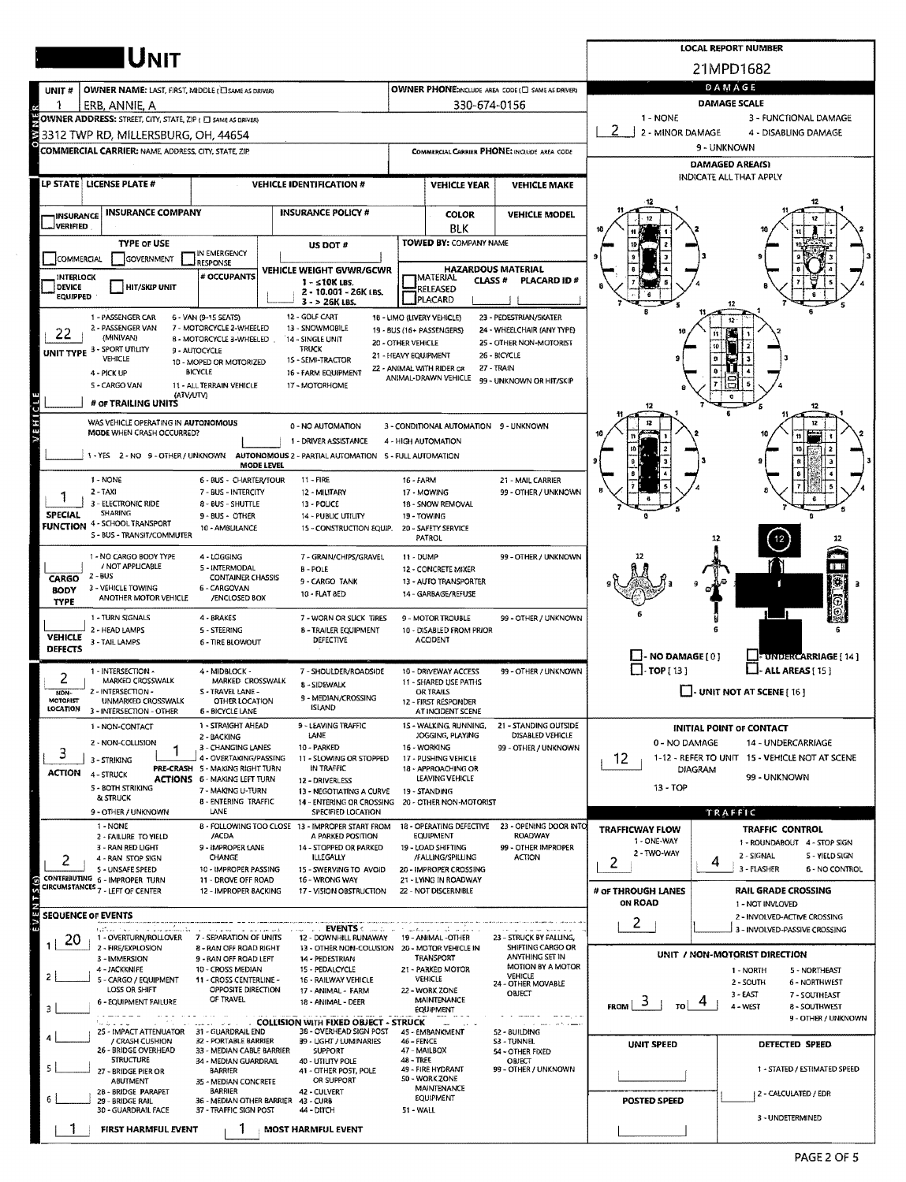|                                                                                                                                                                              |                                                                           |                                                           |                                                                                          |                                                          |                                                                |                                             |                                                         | <b>LOCAL REPORT NUMBER</b>                                          |  |  |  |  |  |
|------------------------------------------------------------------------------------------------------------------------------------------------------------------------------|---------------------------------------------------------------------------|-----------------------------------------------------------|------------------------------------------------------------------------------------------|----------------------------------------------------------|----------------------------------------------------------------|---------------------------------------------|---------------------------------------------------------|---------------------------------------------------------------------|--|--|--|--|--|
|                                                                                                                                                                              | <b>IU</b> NIT                                                             |                                                           | 21MPD1682                                                                                |                                                          |                                                                |                                             |                                                         |                                                                     |  |  |  |  |  |
| UNIT#                                                                                                                                                                        | <b>OWNER NAME: LAST, FIRST, MIDDLE (ELSAME AS DRIVER)</b>                 |                                                           | OWNER PHONE:INCLUDE AREA CODE (E) SAME AS DRIVER)                                        | DAMAGE                                                   |                                                                |                                             |                                                         |                                                                     |  |  |  |  |  |
|                                                                                                                                                                              | ERB, ANNIE, A                                                             |                                                           |                                                                                          |                                                          | 330-674-0156                                                   |                                             | <b>DAMAGE SCALE</b>                                     |                                                                     |  |  |  |  |  |
|                                                                                                                                                                              | OWNER ADDRESS: STREET, CITY, STATE, ZIP ( E) SAME AS DRIVERY              |                                                           |                                                                                          |                                                          |                                                                |                                             | $1 - \text{NONE}$<br>3 - FUNCTIONAL DAMAGE              |                                                                     |  |  |  |  |  |
| ş                                                                                                                                                                            | 3312 TWP RD, MILLERSBURG, OH, 44654                                       |                                                           |                                                                                          |                                                          |                                                                |                                             | 2 - MINOR DAMAGE                                        | 4 - DISABLING DAMAGE                                                |  |  |  |  |  |
|                                                                                                                                                                              | COMMERCIAL CARRIER: NAME, ADDRESS, CITY, STATE, ZIP                       |                                                           |                                                                                          |                                                          |                                                                | COMMERCIAL CARRIER PHONE: INCLUDE AREA CODE |                                                         | 9 - UNKNOWN                                                         |  |  |  |  |  |
|                                                                                                                                                                              |                                                                           |                                                           |                                                                                          |                                                          |                                                                |                                             |                                                         | <b>DAMAGED AREA(S)</b><br>INDICATE ALL THAT APPLY                   |  |  |  |  |  |
|                                                                                                                                                                              | LP STATE LICENSE PLATE #                                                  |                                                           | <b>VEHICLE IDENTIFICATION #</b>                                                          |                                                          | <b>VEHICLE YEAR</b>                                            | <b>VEHICLE MAKE</b>                         |                                                         |                                                                     |  |  |  |  |  |
|                                                                                                                                                                              | <b>INSURANCE COMPANY</b>                                                  |                                                           | <b>INSURANCE POLICY #</b>                                                                |                                                          | <b>COLOR</b>                                                   | <b>VEHICLE MODEL</b>                        |                                                         |                                                                     |  |  |  |  |  |
| INSURANCE<br><b>JVERIFIED</b>                                                                                                                                                |                                                                           |                                                           |                                                                                          |                                                          | <b>BLK</b>                                                     |                                             |                                                         |                                                                     |  |  |  |  |  |
|                                                                                                                                                                              | <b>TYPE OF USE</b>                                                        |                                                           | US DOT #                                                                                 |                                                          | <b>TOWED BY: COMPANY NAME</b>                                  |                                             |                                                         |                                                                     |  |  |  |  |  |
| COMMERCIAL                                                                                                                                                                   | <b>GOVERNMENT</b>                                                         | IN EMERGENCY<br>RESPONSE                                  |                                                                                          |                                                          |                                                                |                                             |                                                         |                                                                     |  |  |  |  |  |
| <b>INTERLOCK</b>                                                                                                                                                             |                                                                           | # OCCUPANTS                                               | VEHICLE WEIGHT GVWR/GCWR<br>$1 - 510K$ LBS.                                              |                                                          | <b>HAZARDOUS MATERIAL</b><br><b>MATERIAL</b><br><b>CLASS #</b> | PLACARD ID#                                 |                                                         |                                                                     |  |  |  |  |  |
| <b>DEVICE</b><br><b>EQUIPPED</b>                                                                                                                                             | <b>HIT/SKIP UNIT</b>                                                      |                                                           | 2 - 10.001 - 26K LBS.<br>$3 - 26K$ LBS.                                                  |                                                          | RELEASED<br>PLACARD                                            |                                             |                                                         | 12                                                                  |  |  |  |  |  |
|                                                                                                                                                                              | 1 - PASSENGER CAR                                                         | 6 - VAN (9-15 SEATS)                                      | 12 - GOLF CART                                                                           |                                                          | 18 - LIMO (LIVERY VEHICLE)                                     | 23 - PEDESTRIAN/5KATER                      |                                                         |                                                                     |  |  |  |  |  |
| 22                                                                                                                                                                           | 2 - PASSENGER VAN<br>(MINIVAN)                                            | 7 - MOTORCYCLE 2-WHEELED<br>8 - MOTORCYCLE 3-WHEELED      | 13 - SNOWMOBILE<br>14 - SINGLE UNIT                                                      |                                                          | 19 - BUS (16+ PASSENGERS)                                      | 24 - WHEELCHAIR (ANY TYPE)                  |                                                         |                                                                     |  |  |  |  |  |
|                                                                                                                                                                              | UNIT TYPE 3 - SPORT UTILITY                                               | 9 - AUTOCYCLE                                             | <b>TRUCK</b>                                                                             | 20 - OTHER VEHICLE<br>21 - HEAVY EQUIPMENT               |                                                                | 25 - OTHER NON-MOTORIST<br>26 - BICYCLE     | to                                                      |                                                                     |  |  |  |  |  |
|                                                                                                                                                                              | <b>VEHICLE</b><br>4 - PICK UP                                             | 10 - MOPED OR MOTORIZED<br><b>BICYCLE</b>                 | 15 - SEMI-TRACTOR<br>16 - FARM EQUIPMENT                                                 |                                                          | 22 - ANIMAL WITH RIDER OR                                      | 27 - TRAIN                                  |                                                         |                                                                     |  |  |  |  |  |
|                                                                                                                                                                              | 5 - CARGO VAN                                                             | 11 - ALL TERRAIN VEHICLE                                  | 17 - MOTORHOME                                                                           |                                                          | ANIMAL-DRAWN VEHICLE                                           | 99 - UNKNOWN OR HIT/SKIP                    |                                                         |                                                                     |  |  |  |  |  |
|                                                                                                                                                                              | (ATV/UTV)<br># OF TRAILING UNITS                                          |                                                           |                                                                                          |                                                          |                                                                |                                             |                                                         |                                                                     |  |  |  |  |  |
| VEHICLE                                                                                                                                                                      | WAS VEHICLE OPERATING IN AUTONOMOUS                                       |                                                           | 0 - NO AUTOMATION                                                                        |                                                          | 3 - CONDITIONAL AUTOMATION 9 - UNKNOWN                         |                                             |                                                         |                                                                     |  |  |  |  |  |
|                                                                                                                                                                              | MODE WHEN CRASH OCCURRED?                                                 |                                                           | 1 - DRIVER ASSISTANCE                                                                    |                                                          | 4 - HIGH AUTOMATION                                            |                                             |                                                         |                                                                     |  |  |  |  |  |
|                                                                                                                                                                              |                                                                           | MODE LEVEL                                                | 1 - YES 2 - NO 9 - OTHER / UNKNOWN AUTONOMOUS 2 - PARTIAL AUTOMATION 5 - FULL AUTOMATION |                                                          |                                                                |                                             |                                                         |                                                                     |  |  |  |  |  |
|                                                                                                                                                                              | 1 - NONE                                                                  | 6 - BUS - CHARTER/TOUR                                    | 11 - FIRE                                                                                | 16 - FARM                                                |                                                                | 21 - MAIL CARRIER                           |                                                         |                                                                     |  |  |  |  |  |
|                                                                                                                                                                              | 2 - TAXI                                                                  | 7 - BUS - INTERCITY                                       | 12 - MILITARY                                                                            |                                                          | 17 - MOWING                                                    | 99 - OTHER / UNKNOWN                        |                                                         |                                                                     |  |  |  |  |  |
| <b>SPECIAL</b>                                                                                                                                                               | 3 - ELECTRONIC RIDE<br><b>SHARING</b>                                     | 8 - BUS - SHUTTLE<br>9 - BUS - OTHER                      | 13 - POLICE<br><b>14 - PUBLIC UTILITY</b>                                                |                                                          | 18 - SNOW REMOVAL<br>19 - TOWING                               |                                             |                                                         |                                                                     |  |  |  |  |  |
|                                                                                                                                                                              | <b>FUNCTION 4 - SCHOOL TRANSPORT</b><br>S - BUS - TRANSIT/COMMUTER        | 10 - AMBLILANCE                                           | 15 - CONSTRUCTION EQUIP.                                                                 |                                                          | 20 - SAFETY SERVICE                                            |                                             |                                                         |                                                                     |  |  |  |  |  |
|                                                                                                                                                                              |                                                                           |                                                           |                                                                                          |                                                          | PATROL                                                         |                                             |                                                         | 12                                                                  |  |  |  |  |  |
|                                                                                                                                                                              | 1 - NO CARGO BODY TYPE<br>/ NOT APPLICABLE                                | 4 - LOGGING<br>5 - INTERMODAL                             | 7 - GRAIN/CHIPS/GRAVEL<br><b>B-POLE</b>                                                  | 99 - OTHER / UNKNOWN<br>11 - DUMP<br>12 - CONCRETE MIXER |                                                                |                                             |                                                         |                                                                     |  |  |  |  |  |
| CARGO                                                                                                                                                                        | $2 - BUS$<br>3 - VEHICLE TOWING                                           | <b>CONTAINER CHASSIS</b><br>6 - CARGOVAN                  | 9 - CARGO TANK                                                                           |                                                          | 13 - AUTO TRANSPORTER                                          |                                             |                                                         |                                                                     |  |  |  |  |  |
| <b>BODY</b><br>TYPE                                                                                                                                                          | ANOTHER MOTOR VEHICLE                                                     | /ENCLOSED BOX                                             | 10 - FLAT BED                                                                            |                                                          | 14 - GARBAGE/REFUSE                                            |                                             |                                                         |                                                                     |  |  |  |  |  |
|                                                                                                                                                                              | 1 - TURN SIGNALS                                                          | 4 - BRAKES                                                | 7 - WORN OR SLICK TIRES                                                                  |                                                          | 9 - MOTOR TROUBLE                                              | 99 - OTHER / UNKNOWN                        |                                                         |                                                                     |  |  |  |  |  |
| <b>VEHICLE</b>                                                                                                                                                               | 2 - HEAD LAMPS<br>3 - TAIL LAMPS                                          | 5 - STEERING<br><b>6 - TIRE BLOWOUT</b>                   | <b>8 - TRAILER EQUIPMENT</b><br><b>DEFECTIVE</b>                                         |                                                          | 10 - DISABLED FROM PRIOR<br><b>ACCIDENT</b>                    |                                             |                                                         |                                                                     |  |  |  |  |  |
| <b>DEFECTS</b>                                                                                                                                                               |                                                                           |                                                           |                                                                                          |                                                          |                                                                |                                             | $\Box$ - NO DAMAGE $[0]$                                | - UNDERCARRIAGE [ 14 ]                                              |  |  |  |  |  |
| 2                                                                                                                                                                            | 1 - INTERSECTION -                                                        | 4 - MIDBLOCK -                                            | 7 - SHOULDER/ROADSIDE                                                                    |                                                          | 10 - DRIVEWAY ACCESS                                           | 99 - OTHER / UNKNOWN                        | $\square$ $\cdot$ TOP [ 13 ]                            | $\Box$ - ALL AREAS [ 15 ]                                           |  |  |  |  |  |
| NON-                                                                                                                                                                         | MARKED CROSSWALK<br>2 - INTERSECTION -                                    | MARKED CROSSWALK<br>S - TRAVEL LANE -                     | 8 - SIDEWALK                                                                             |                                                          | 11 - SHARED USE PATHS<br>OR TRAILS                             |                                             |                                                         | U-UNIT NOT AT SCENE [ 16 ]                                          |  |  |  |  |  |
| motumsi<br>LOCATION                                                                                                                                                          | UNMARKED CROSSWALK<br>3 - INTERSECTION - OTHER                            | <b>UIHEK LOCATION</b><br>6 - BICYCLE LANE                 | 9 - MEDIAN/CROSSING<br><b>ISLAND</b>                                                     |                                                          | 12 - FIRST RESPONDER<br>AT INCIDENT SCENE                      |                                             |                                                         |                                                                     |  |  |  |  |  |
|                                                                                                                                                                              | 1 - NON-CONTACT                                                           | 1 - STRAIGHT AHEAD                                        | 9 - LEAVING TRAFFIC                                                                      |                                                          | 15 - WALKING, RUNNING.                                         | 21 - STANDING OUTSIDE                       |                                                         | INITIAL POINT OF CONTACT                                            |  |  |  |  |  |
|                                                                                                                                                                              | 2 - NON-COLLISION                                                         | 2 - BACKING<br>3 - CHANGING LANES                         | LANE<br>10 - PARKED                                                                      |                                                          | JOGGING, PLAYING<br>16 - WORKING                               | DISABLED VEHICLE<br>99 - OTHER / UNKNOWN    | 0 - NO DAMAGE                                           | 14 - UNDERCARRIAGE                                                  |  |  |  |  |  |
| 3                                                                                                                                                                            | 3 - STRIKING                                                              | 4 - OVERTAKING/PASSING<br>PRE-CRASH 5 - MAKING RIGHT TURN | 11 - SLOWING OR STOPPED<br>IN TRAFFIC                                                    | 17 - PUSHING VEHICLE                                     |                                                                |                                             | 12<br>1-12 - REFER TO UNIT 15 - VEHICLE NOT AT SCENE    |                                                                     |  |  |  |  |  |
| <b>ACTION</b>                                                                                                                                                                | 4 - STRUCK                                                                | <b>ACTIONS 6 - MAKING LEFT TURN</b>                       | 12 - DRIVERLESS                                                                          |                                                          | 18 - APPROACHING OR<br>LEAVING VEHICLE                         |                                             |                                                         | DIAGRAM<br>99 - UNKNOWN                                             |  |  |  |  |  |
|                                                                                                                                                                              | 5 - BOTH STRIKING<br>& STRUCK                                             | 7 - MAKING U-TURN<br>8 - ENTERING TRAFFIC                 | 13 - NEGOTIATING A CURVE<br>14 - ENTERING OR CROSSING 20 - OTHER NON-MOTORIST            |                                                          | 19 - STANDING                                                  |                                             | 13 - TOP                                                |                                                                     |  |  |  |  |  |
|                                                                                                                                                                              | 9 - OTHER / UNKNOWN                                                       | LANE                                                      | SPECIFIED LOCATION                                                                       |                                                          |                                                                |                                             |                                                         | TRAFFIC                                                             |  |  |  |  |  |
|                                                                                                                                                                              | 1 - NONE<br>2 - FAILURE TO YIELD                                          | /ACDA                                                     | 8 - FOLLOWING TOO CLOSE 13 - IMPROPER START FROM<br>A PARKED POSITION                    |                                                          | 18 - OPERATING DEFECTIVE<br>EQUIPMENT                          | 23 - OPENING DOOR INTO<br><b>ROADWAY</b>    | <b>TRAFFICWAY FLOW</b>                                  | <b>TRAFFIC CONTROL</b>                                              |  |  |  |  |  |
|                                                                                                                                                                              | 3 - RAN RED LIGHT                                                         | 9 - IMPROPER LANE                                         | 14 - STOPPED OR PARKED                                                                   |                                                          | 19 - LOAD SHIFTING                                             | 99 - OTHER IMPROPER                         | 1 - ONE-WAY<br>2 - TWO-WAY                              | 1 - ROUNDABOUT 4 - STOP SIGN<br>2 - SIGNAL<br><b>S - YIELD SIGN</b> |  |  |  |  |  |
| 2                                                                                                                                                                            | 4 - RAN STOP SIGN<br>5 - UNSAFE SPEED                                     | CHANGE<br>10 - IMPROPER PASSING                           | <b>ILLEGALLY</b><br>15 - SWERVING TO AVOID                                               |                                                          | /FALLING/SPILLING<br>20 - IMPROPER CROSSING                    | <b>ACTION</b>                               | 2                                                       | 4<br>3 - FLASHER<br>6 - NO CONTROL                                  |  |  |  |  |  |
|                                                                                                                                                                              | CONTRIBUTING 6 - IMPROPER TURN<br><b>CIRCUMSTANCES 7 - LEFT OF CENTER</b> | 11 - DROVE OFF ROAD<br>12 - IMPROPER BACKING              | 16 - WRONG WAY<br>17 - VISION OBSTRUCTION                                                |                                                          | 21 - LYING IN ROADWAY<br>22 - NOT DISCERNIBLE                  |                                             | # OF THROUGH LANES                                      | <b>RAIL GRADE CROSSING</b>                                          |  |  |  |  |  |
| EVENTS(s)                                                                                                                                                                    |                                                                           |                                                           |                                                                                          |                                                          |                                                                |                                             | ON ROAD                                                 | 1 - NOT INVLOVED                                                    |  |  |  |  |  |
| <b>SEQUENCE OF EVENTS</b>                                                                                                                                                    |                                                                           |                                                           |                                                                                          |                                                          |                                                                |                                             | 2                                                       | 2 - INVOLVED-ACTIVE CROSSING                                        |  |  |  |  |  |
| 20                                                                                                                                                                           | estra mono in la labalación<br>1 - OVERTURN/ROLLOVER                      | 7 - SEPARATION OF UNITS                                   | ……。. EVENTS < ……。.<br>12 - DOWNHILL RUNAWAY                                              |                                                          | 19 - ANIMAL -OTHER                                             | 23 - STRUCK BY FALLING,                     |                                                         | 3 - INVOLVED-PASSIVE CROSSING                                       |  |  |  |  |  |
|                                                                                                                                                                              | 2 - FIRE/EXPLOSION<br>3 - IMMERSION                                       | 8 - RAN OFF ROAD RIGHT<br>9 - RAN OFF ROAD LEFT           | 13 - OTHER NON-COLUSION 20 - MOTOR VEHICLE IN<br>14 - PEDESTRIAN                         |                                                          | <b>TRANSPORT</b>                                               | SHIFTING CARGO OR<br>ANYTHING SET IN        |                                                         | UNIT / NON-MOTORIST DIRECTION                                       |  |  |  |  |  |
|                                                                                                                                                                              | 4 - JACKKNIFE<br>5 - CARGO / EQUIPMENT                                    | 10 - CROSS MEDIAN<br>11 - CROSS CENTERLINE -              | 15 - PEDALCYCLE<br>16 - RAILWAY VEHICLE                                                  |                                                          | 21 - PARKED MOTOR<br>VEHICLE                                   | MOTION BY A MOTOR<br><b>VEHICLE</b>         |                                                         | 5 - NORTHEAST<br>1 - NORTH                                          |  |  |  |  |  |
|                                                                                                                                                                              | LOSS OR SHIFT                                                             | OPPOSITE DIRECTION                                        | 17 - ANIMAL - FARM                                                                       |                                                          | 22 - WORK ZONE                                                 | 24 - OTHER MOVABLE<br>OBJECT                |                                                         | 2 - SOUTH<br>6 - NORTHWEST<br>$3 - EAST$<br>7 - SOUTHEAST           |  |  |  |  |  |
|                                                                                                                                                                              | 6 - EQUIPMENT FAILURE                                                     | OF TRAVEL                                                 | 18 - ANIMAL - DEER                                                                       |                                                          | MAINTENANCE<br>EQUIPMENT                                       |                                             | $\rightarrow$ $\rightarrow$<br>$\frac{1}{10}$ 4<br>FROM | 4 - WEST<br>8 - SOUTHWEST                                           |  |  |  |  |  |
| <b>COLLISION WITH FIXED OBJECT - STRUCK</b><br>sando al colonial<br>25 - IMPACT ATTENUATOR 31 - GUARDRAIL END<br>38 - OVERHEAD SIGN POST<br>45 - EMBANKMENT<br>52 - BUILDING |                                                                           |                                                           |                                                                                          |                                                          |                                                                |                                             |                                                         | 9 - OTHER / UNKNOWN                                                 |  |  |  |  |  |
|                                                                                                                                                                              | / CRASH CUSHION<br>26 - BRIDGE OVERHEAD                                   | 32 - PORTABLE BARRIER<br>33 - MEDIAN CABLE BARRIER        | 39 - LIGHT / LUMINARIES<br><b>SUPPORT</b>                                                | 46 - FENCE                                               | 47 - MAILBOX                                                   | S3 - TUNNEL<br>54 - OTHER FIXED             | <b>UNIT SPEED</b>                                       | DETECTED SPEED                                                      |  |  |  |  |  |
|                                                                                                                                                                              | <b>STRUCTURE</b>                                                          | 34 - MEDIAN GUARDRAIL                                     | 40 - UTILITY POLE                                                                        | 48 - TREE                                                |                                                                | OBJECT<br>99 - OTHER / UNKNOWN              |                                                         | 1 - STATED / ESTIMATED SPEED                                        |  |  |  |  |  |
|                                                                                                                                                                              | 27 - BRIDGE PIER OR<br>ABUTMENT                                           | <b>BARRIER</b><br>35 - MEDIAN CONCRETE<br><b>BARRIER</b>  | 41 - OTHER POST, POLE<br>OR SUPPORT                                                      |                                                          | 49 - FIRE HYDRANT<br>50 - WORK ZONE                            |                                             |                                                         |                                                                     |  |  |  |  |  |
|                                                                                                                                                                              | 2B - BRIDGE PARAPET<br>29 - BRIDGE RAIL                                   | 42 - CULVERT<br>36 - MEDIAN OTHER BARRIER 43 - CURB       |                                                                                          | MAINTENANCE<br>EQUIPMENT                                 |                                                                | <b>POSTED SPEED</b>                         | 2 - CALCULATED / EDR                                    |                                                                     |  |  |  |  |  |
|                                                                                                                                                                              | 30 - GUARDRAIL FACE                                                       | 37 - TRAFFIC SIGN POST                                    | 44 - DITCH                                                                               | 51 - WALL                                                |                                                                |                                             |                                                         | 3 - UNDETERMINED                                                    |  |  |  |  |  |
|                                                                                                                                                                              | FIRST HARMFUL EVENT                                                       |                                                           | <b>MOST HARMFUL EVENT</b>                                                                |                                                          |                                                                |                                             |                                                         |                                                                     |  |  |  |  |  |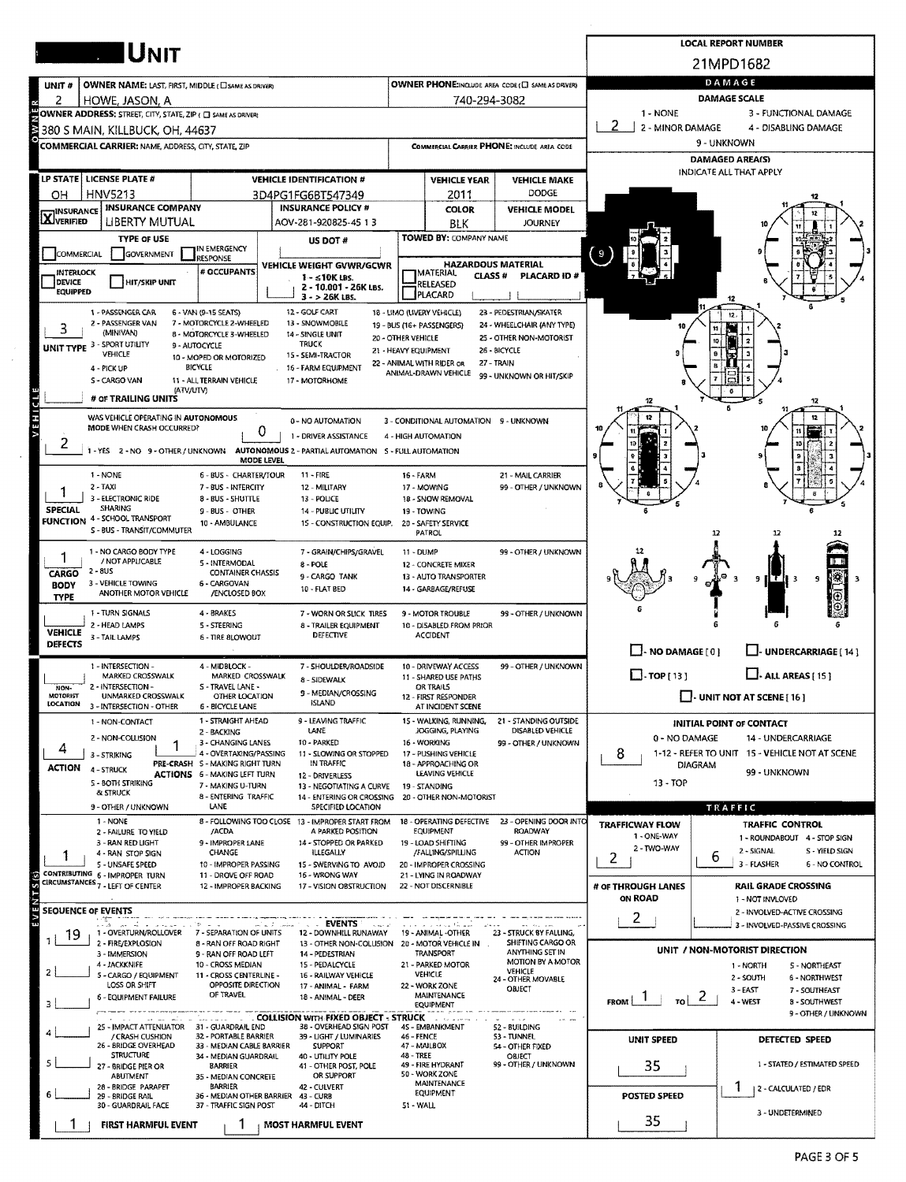|                            |                                                                                        |                                                           | <b>LOCAL REPORT NUMBER</b>                                                               |                                                                                                                                 |                                                       |                                                      |                                                                                    |                                                               |  |  |  |  |  |  |  |
|----------------------------|----------------------------------------------------------------------------------------|-----------------------------------------------------------|------------------------------------------------------------------------------------------|---------------------------------------------------------------------------------------------------------------------------------|-------------------------------------------------------|------------------------------------------------------|------------------------------------------------------------------------------------|---------------------------------------------------------------|--|--|--|--|--|--|--|
|                            | <b>IUNIT</b>                                                                           |                                                           |                                                                                          |                                                                                                                                 |                                                       |                                                      |                                                                                    | 21MPD1682                                                     |  |  |  |  |  |  |  |
| UNIT #                     | <b>OWNER NAME: LAST, FIRST, MIDDLE (CI SAME AS DRIVER)</b>                             |                                                           |                                                                                          |                                                                                                                                 |                                                       | OWNER PHONE:INCLUDE AREA CODE (E) SAME AS DRIVER)    | DAMAGE                                                                             |                                                               |  |  |  |  |  |  |  |
| 2                          | HOWE, JASON, A                                                                         |                                                           |                                                                                          |                                                                                                                                 | 740-294-3082                                          |                                                      | <b>DAMAGE SCALE</b>                                                                |                                                               |  |  |  |  |  |  |  |
|                            | OWNER ADDRESS: STREET, CITY, STATE, ZIP ( C SAME AS DRIVER)                            |                                                           |                                                                                          |                                                                                                                                 |                                                       |                                                      | 1 - NONE<br>3 - FUNCTIONAL DAMAGE<br>2<br>2 - MINOR DAMAGE<br>4 - DISABLING DAMAGE |                                                               |  |  |  |  |  |  |  |
| ₹                          | 380 S MAIN, KILLBUCK, OH, 44637<br>COMMERCIAL CARRIER: NAME, ADDRESS, CITY, STATE, ZIP |                                                           |                                                                                          | COMMERCIAL CARRIER PHONE: INCLUDE AREA CODE                                                                                     |                                                       |                                                      |                                                                                    | 9 - UNKNOWN                                                   |  |  |  |  |  |  |  |
|                            |                                                                                        |                                                           |                                                                                          |                                                                                                                                 |                                                       |                                                      |                                                                                    | <b>DAMAGED AREA(S)</b>                                        |  |  |  |  |  |  |  |
|                            | LP STATE   LICENSE PLATE #                                                             |                                                           | <b>VEHICLE IDENTIFICATION #</b>                                                          |                                                                                                                                 | <b>VEHICLE YEAR</b>                                   | <b>VEHICLE MAKE</b>                                  |                                                                                    | INDICATE ALL THAT APPLY                                       |  |  |  |  |  |  |  |
| OН                         | <b>HNV5213</b>                                                                         |                                                           | 3D4PG1FG6BT547349                                                                        |                                                                                                                                 | 2011                                                  | DODGE                                                |                                                                                    |                                                               |  |  |  |  |  |  |  |
| <b>X</b> INSURANCE         | <b>INSURANCE COMPANY</b>                                                               |                                                           | <b>INSURANCE POLICY #</b>                                                                |                                                                                                                                 | <b>COLOR</b>                                          | <b>VEHICLE MODEL</b>                                 |                                                                                    |                                                               |  |  |  |  |  |  |  |
|                            | <b>LIBERTY MUTUAL</b><br><b>TYPE OF USE</b>                                            |                                                           | AOV-281-920825-45 13                                                                     |                                                                                                                                 | BLK<br>TOWED BY: COMPANY NAME                         | <b>JOURNEY</b>                                       |                                                                                    |                                                               |  |  |  |  |  |  |  |
| <b>COMMERCIAL</b>          | <b>GOVERNMENT</b>                                                                      | IN EMERGENCY                                              | US DOT #                                                                                 |                                                                                                                                 |                                                       |                                                      | 9                                                                                  |                                                               |  |  |  |  |  |  |  |
| <b>INTERLOCK</b>           |                                                                                        | <b>RESPONSE</b><br># OCCUPANTS                            | VEHICLE WEIGHT GVWR/GCWR                                                                 |                                                                                                                                 | <b>HAZARDOUS MATERIAL</b><br><b>MATERIAL</b>          |                                                      |                                                                                    |                                                               |  |  |  |  |  |  |  |
| DEVICE<br><b>EQUIPPED</b>  | HIT/SKIP UNIT                                                                          |                                                           | $1 - 510K$ LBS.<br>2 - 10.001 - 26K LBS.                                                 |                                                                                                                                 | <b>CLASS #</b><br>RELEASED                            | <b>PLACARD ID #</b>                                  |                                                                                    |                                                               |  |  |  |  |  |  |  |
|                            |                                                                                        |                                                           | $3 - 26K$ LBS.                                                                           |                                                                                                                                 | PLACARD                                               |                                                      |                                                                                    |                                                               |  |  |  |  |  |  |  |
| 3                          | 1 - PASSENGER CAR<br>2 - PASSENGER VAN                                                 | 6 - VAN (9-15 SEATS)<br>7 - MOTORCYCLE 2-WHEELED          | 12 - GOLF CART<br>13 - SNOWMOBILE                                                        |                                                                                                                                 | 18 - UMO (UVERY VEHICLE)<br>19 - BUS (16+ PASSENGERS) | 23 - PEDESTRIAN/SKATER<br>24 - WHEELCHAIR (ANY TYPE) |                                                                                    | 12.                                                           |  |  |  |  |  |  |  |
|                            | (MINIVAN)<br>UNIT TYPE 3 - SPORT UTILITY                                               | 8 - MOTORCYCLE 3-WHEELED<br>9 - AUTOCYCLE                 | 14 - SINGLE UNIT<br><b>TRUCK</b>                                                         | 20 - OTHER VEHICLE                                                                                                              |                                                       | 25 - OTHER NON-MOTORIST                              |                                                                                    |                                                               |  |  |  |  |  |  |  |
|                            | VEHICLE                                                                                | 10 - MOPED OR MOTORIZED                                   | 15 - SEMI-TRACTOR                                                                        | 21 - HEAVY EQUIPMENT                                                                                                            | 22 - ANIMAL WITH RIDER OR                             | 26 - BICYCLE<br>27 - TRAIN                           |                                                                                    |                                                               |  |  |  |  |  |  |  |
|                            | 4 - PICK UP<br>S - CARGO VAN                                                           | <b>BICYCLE</b><br>11 - ALL TERRAIN VEHICLE                | 16 - FARM EQUIPMENT<br>17 - MOTORHOME                                                    |                                                                                                                                 | ANIMAL-DRAWN VEHICLE                                  | 99 - UNKNOWN OR HIT/SKIP                             |                                                                                    |                                                               |  |  |  |  |  |  |  |
|                            | (ATV/UTV)<br># OF TRAILING UNITS                                                       |                                                           |                                                                                          |                                                                                                                                 |                                                       |                                                      |                                                                                    |                                                               |  |  |  |  |  |  |  |
| VEHICL                     | WAS VEHICLE OPERATING IN AUTONOMOUS                                                    |                                                           | 0 - NO AUTOMATION                                                                        |                                                                                                                                 | 3 - CONDITIONAL AUTOMATION 9 - UNKNOWN                |                                                      |                                                                                    |                                                               |  |  |  |  |  |  |  |
|                            | MODE WHEN CRASH OCCURRED?                                                              | 0                                                         | 1 - DRIVER ASSISTANCE                                                                    |                                                                                                                                 | 4 - HIGH AUTOMATION                                   |                                                      |                                                                                    |                                                               |  |  |  |  |  |  |  |
| 2                          |                                                                                        |                                                           | 1 - YES 2 - NO 9 - OTHER / UNKNOWN AUTONOMOUS 2 - PARTIAL AUTOMATION 5 - FULL AUTOMATION |                                                                                                                                 |                                                       |                                                      |                                                                                    |                                                               |  |  |  |  |  |  |  |
|                            | 1 - NONE                                                                               | <b>MODE LEVEL</b><br>6 - BUS - CHARTER/TOUR               | $11 - FIRE$                                                                              | 21 - MAIL CARRIER<br>16 - FARM                                                                                                  |                                                       |                                                      |                                                                                    |                                                               |  |  |  |  |  |  |  |
|                            | 2 - TAXI                                                                               | 7 - BUS - INTERCITY                                       | 12 - MILITARY                                                                            | 17 - MOWING                                                                                                                     |                                                       | 99 - OTHER / UNKNOWN                                 |                                                                                    |                                                               |  |  |  |  |  |  |  |
| SPECIAL                    | 3 - ELECTRONIC RIDE<br><b>SHARING</b>                                                  | 8 - BUS - SHUTTLE<br>9 - BUS - OTHER                      | 13 - POLICE<br><b>14 - PUBLIC UTILITY</b>                                                |                                                                                                                                 | 18 - SNOW REMOVAL<br>19 - TOWING                      |                                                      |                                                                                    |                                                               |  |  |  |  |  |  |  |
| <b>FUNCTION</b>            | 4 - SCHOOL TRANSPORT                                                                   | 10 - AMBULANCE                                            | 1S - CONSTRUCTION EQUIP.                                                                 |                                                                                                                                 | 20 - SAFETY SERVICE                                   |                                                      |                                                                                    |                                                               |  |  |  |  |  |  |  |
|                            | S - BUS - TRANSIT/COMMUTER                                                             |                                                           |                                                                                          |                                                                                                                                 | PATROL                                                |                                                      |                                                                                    | 12<br>12                                                      |  |  |  |  |  |  |  |
|                            | 1 - NO CARGO BODY TYPE<br>/ NOT APPLICABLE                                             | 4 - LOGGING<br>5 - INTERMODAL                             | 7 - GRAIN/CHIPS/GRAVEL<br>8-POLE                                                         | 11 - DUMP<br>99 - OTHER / UNKNOWN<br>12 - CONCRETE MIXER                                                                        |                                                       |                                                      |                                                                                    |                                                               |  |  |  |  |  |  |  |
| CARGO                      | 2 - 8US<br>3 - VEHICLE TOWING                                                          | <b>CONTAINER CHASSIS</b><br>6 - CARGOVAN                  | 9 - CARGO TANK                                                                           |                                                                                                                                 | 13 - AUTO TRANSPORTER                                 |                                                      |                                                                                    | 9.<br>э<br>H 3                                                |  |  |  |  |  |  |  |
| <b>BODY</b><br><b>TYPE</b> | ANOTHER MOTOR VEHICLE                                                                  | /ENCLOSED BOX                                             | 10 - FLAT BED                                                                            | 14 - GARBAGE/REFUSE                                                                                                             |                                                       |                                                      |                                                                                    |                                                               |  |  |  |  |  |  |  |
|                            | 1 - TURN SIGNALS                                                                       | 4 - BRAKES                                                | 7 - WORN OR SLICK TIRES                                                                  |                                                                                                                                 | 9 - MOTOR TROUBLE                                     | 99 - OTHER / UNKNOWN                                 |                                                                                    |                                                               |  |  |  |  |  |  |  |
| <b>VEHICLE</b>             | 2 - HEAD LAMPS<br>3 - TAIL LAMPS                                                       | 5 - STEERING<br>6 - TIRE BLOWOUT                          | 8 - TRAILER EQUIPMENT<br>DEFECTIVE                                                       |                                                                                                                                 | 10 - DISABLED FROM PRIOR<br><b>ACCIDENT</b>           |                                                      |                                                                                    |                                                               |  |  |  |  |  |  |  |
| <b>DEFECTS</b>             |                                                                                        |                                                           |                                                                                          |                                                                                                                                 |                                                       |                                                      | $\Box$ - NO DAMAGE [ 0 ]                                                           | <b>UNDERCARRIAGE [ 14 ]</b>                                   |  |  |  |  |  |  |  |
|                            | 1 - INTERSECTION -<br>MARKED CROSSWALK                                                 | 4 - MIDBLOCK -<br>MARKED CROSSWALK                        | 7 - SHOULDER/ROADSIDE                                                                    | 10 - DRIVEWAY ACCESS<br>99 - OTHER / UNKNOWN<br>11 - SHARED USE PATHS<br>OR TRAILS<br>12 - FIRST RESPONDER<br>AT INCIDENT SCENE |                                                       |                                                      | $\Box$ - ALL AREAS [15]<br>$\Box$ -TOP[13]                                         |                                                               |  |  |  |  |  |  |  |
| NON-<br><b>MOTORIST</b>    | 2 - INTERSECTION -<br>UNMARKED CROSSWALK                                               | S - TRAVEL LANE -                                         | 8 - SIDEWALK<br>9 - MEDIAN/CROSSING                                                      |                                                                                                                                 |                                                       |                                                      | $\Box$ - UNIT NOT AT SCENE [ 16 ]                                                  |                                                               |  |  |  |  |  |  |  |
| LOCATION                   | 3 - INTERSECTION - OTHER                                                               | OTHER LOCATION<br>6 - BICYCLE LANE                        | ISLAND                                                                                   |                                                                                                                                 |                                                       |                                                      |                                                                                    |                                                               |  |  |  |  |  |  |  |
|                            | 1 - NON-CONTACT                                                                        | 1 - STRAIGHT AHEAD<br>2 - BACKING                         | 9 - LEAVING TRAFFIC<br>LANE                                                              | 15 - WALKING, RUNNING,<br>21 - STANDING OUTSIDE<br>DISABLED VEHICLE<br>JOGGING, PLAYING<br>16 - WORKING<br>99 - OTHER / UNKNOWN |                                                       |                                                      |                                                                                    | <b>INITIAL POINT OF CONTACT</b>                               |  |  |  |  |  |  |  |
| 4                          | 2 - NON-COLLISION<br>1                                                                 | 3 - CHANGING LANES                                        | 10 - PARKED                                                                              |                                                                                                                                 |                                                       |                                                      | 0 - NO DAMAGE                                                                      | 14 - UNDERCARRIAGE                                            |  |  |  |  |  |  |  |
| ACTION                     | 3 - STRIKING                                                                           | 4 - OVERTAKING/PASSING<br>PRE-CRASH S - MAKING RIGHT TURN | 11 - SLOWING OR STOPPED<br>IN TRAFFIC                                                    |                                                                                                                                 | 17 - PUSHING VEHICLE<br>18 - APPROACHING OR           |                                                      | 8<br>1-12 - REFER TO UNIT 15 - VEHICLE NOT AT SCENE<br>DIAGRAM                     |                                                               |  |  |  |  |  |  |  |
|                            | 4 - STRUCK<br>5 - BOTH STRIKING                                                        | <b>ACTIONS 6 - MAKING LEFT TURN</b><br>7 - MAKING U-TURN  | 12 - DRIVERLESS<br>13 - NEGOTIATING A CURVE                                              | LEAVING VEHICLE<br>19 - STANDING                                                                                                |                                                       |                                                      | $13 - TOP$                                                                         | 99 - UNKNOWN                                                  |  |  |  |  |  |  |  |
|                            | & STRUCK                                                                               | 8 - ENTERING TRAFFIC                                      | 14 - ENTERING OR CROSSING                                                                |                                                                                                                                 | 20 - OTHER NON-MOTORIST                               |                                                      |                                                                                    |                                                               |  |  |  |  |  |  |  |
|                            | 9 - OTHER / UNKNOWN<br>1 - NONE                                                        | LANE                                                      | SPECIFIED LOCATION<br>8 - FOLLOWING TOO CLOSE 13 - IMPROPER START FROM                   |                                                                                                                                 | 18 - OPERATING DEFECTIVE                              | 23 - OPENING DOOR INTO                               |                                                                                    | TRAFFIC                                                       |  |  |  |  |  |  |  |
|                            | 2 - FAILURE TO YIELD<br>3 - RAN RED LIGHT                                              | /ACDA                                                     | A PARKED POSITION                                                                        |                                                                                                                                 | EQUIPMENT                                             | <b>ROADWAY</b>                                       | <b>TRAFFICWAY FLOW</b><br>1 - ONE-WAY                                              | <b>TRAFFIC CONTROL</b><br>1 - ROUNDABOUT 4 - STOP SIGN        |  |  |  |  |  |  |  |
|                            | 4 - RAN STOP SIGN                                                                      | 9 - IMPROPER LANE<br>CHANGE                               | 14 - STOPPED OR PARKED<br><b>ILLEGALLY</b>                                               |                                                                                                                                 | 19 - LOAD SHIFTING<br>/FALLING/SPILLING               | 99 - OTHER IMPROPER<br><b>ACTION</b>                 | 2 - TWO-WAY<br>2                                                                   | 2 - SIGNAL<br>S - YIELD SIGN<br>b                             |  |  |  |  |  |  |  |
|                            | 5 - UNSAFE SPEED<br>CONTRIBUTING 6 - IMPROPER TURN                                     | 10 - IMPROPER PASSING<br>11 - DROVE OFF ROAD              | 15 - SWERVING TO AVOID<br>16 - WRONG WAY                                                 |                                                                                                                                 | 20 - IMPROPER CROSSING<br>21 - LYING IN ROADWAY       |                                                      |                                                                                    | 3 - FLASHER<br><b>6 - NO CONTROL</b>                          |  |  |  |  |  |  |  |
| EVENTS <sub>(S)</sub>      | CIRCUMSTANCES 7 - LEFT OF CENTER                                                       | 12 - IMPROPER BACKING                                     | 17 - VISION OBSTRUCTION                                                                  |                                                                                                                                 | 22 - NOT DISCERNIBLE                                  |                                                      | # OF THROUGH LANES                                                                 | <b>RAIL GRADE CROSSING</b>                                    |  |  |  |  |  |  |  |
| SEOUENCE OF EVENTS         |                                                                                        |                                                           |                                                                                          |                                                                                                                                 |                                                       |                                                      | ON ROAD                                                                            | 1 - NOT INVLOVED<br>2 - INVOLVED-ACTIVE CROSSING              |  |  |  |  |  |  |  |
|                            | 1 - OVERTURN/ROLLOVER                                                                  | 7 - SEPARATION OF UNITS                                   | <b>EVENTS</b><br>لشدائها الأرابية أنحا<br>12 - DOWNHILL RUNAWAY                          |                                                                                                                                 | 19 - ANIMAL -OTHER                                    | 23 - STRUCK BY FALLING,                              | 2                                                                                  | 3 - INVOLVED-PASSIVE CROSSING                                 |  |  |  |  |  |  |  |
| 19                         | 2 - FIRE/EXPLOSION                                                                     | 8 - RAN OFF ROAD RIGHT                                    | 13 - OTHER NON-COLUSION 20 - MOTOR VEHICLE IN                                            |                                                                                                                                 |                                                       | SHIFTING CARGO OR                                    |                                                                                    | UNIT / NON-MOTORIST DIRECTION                                 |  |  |  |  |  |  |  |
|                            | 3 - IMMERSION<br>4 - JACKKNIFE                                                         | 9 - RAN OFF ROAD LEFT<br>10 - CROSS MEDIAN                | 14 - PEDESTRIAN<br>15 - PEDALCYCLE                                                       |                                                                                                                                 | TRANSPORT<br>21 - PARKED MOTOR                        | ANYTHING SET IN<br>MOTION BY A MOTOR                 |                                                                                    | 1 - NORTH<br>5 - NORTHEAST                                    |  |  |  |  |  |  |  |
|                            | 5 - CARGO / EQUIPMENT<br>LOSS OR SHIFT                                                 | 11 - CROSS CENTERLINE -<br>OPPOSITE DIRECTION             | 16 - RAILWAY VEHICLE<br>17 - ANIMAL - FARM                                               |                                                                                                                                 | <b>VEHICLE</b><br>22 - WORK ZONE                      | <b>VEHICLE</b><br>24 - OTHER MOVABLE                 |                                                                                    | 2 - SOUTH<br><b>6 - NORTHWEST</b>                             |  |  |  |  |  |  |  |
| 3                          | 6 - EQUIPMENT FAILURE                                                                  | OF TRAVEL                                                 | 18 - ANIMAL - DEER                                                                       |                                                                                                                                 | MAINTENANCE<br>EQUIPMENT                              | OBJECT                                               | TO<br><b>FROM</b>                                                                  | $3 - EAST$<br>7 - SOUTHEAST<br>z<br>4 - WEST<br>8 - SOUTHWEST |  |  |  |  |  |  |  |
|                            | ولاست سفسا المراسين المسالمة                                                           |                                                           | . COLLISION WITH FIXED OBJECT - STRUCK                                                   |                                                                                                                                 |                                                       |                                                      |                                                                                    | 9 - OTHER / UNKNOWN                                           |  |  |  |  |  |  |  |
|                            | 25 - IMPACT ATTENUATOR 31 - GUARDRAIL END<br>/ CRASH CUSHION                           | 32 - PORTABLE BARRIER                                     | 38 - OVERHEAD SIGN POST<br>39 - LIGHT / LUMINARIES                                       | 46 - FENCE                                                                                                                      | 45 - EMBANKMENT                                       | 52 - BUILDING<br>53 - TUNNEL                         | <b>UNIT SPEED</b>                                                                  | DETECTED SPEED                                                |  |  |  |  |  |  |  |
|                            | 26 - BRIDGE OVERHEAD<br><b>STRUCTURE</b>                                               | 33 - MEDIAN CABLE BARRIER<br>34 - MEDIAN GUARDRAIL        | <b>SUPPORT</b><br>40 - UTILITY POLE                                                      | <b>48 - TREE</b>                                                                                                                | 47 - MAILBOX                                          | 54 - OTHER FIXED<br>OBJECT                           |                                                                                    |                                                               |  |  |  |  |  |  |  |
|                            | 27 - BRIDGE PIER OR<br>ABUTMENT                                                        | <b>BARRIER</b><br>35 - MEDIAN CONCRETE                    | 41 - OTHER POST, POLE<br>OR SUPPORT                                                      |                                                                                                                                 | 49 - FIRE HYDRANT<br>50 - WORK ZONE                   | 99 - OTHER / UNKNOWN                                 | 35                                                                                 | 1 - STATED / ESTIMATED SPEED                                  |  |  |  |  |  |  |  |
|                            | 28 - BRIDGE PARAPET<br>29 - BRIDGE RAIL                                                | <b>BARRIER</b><br>36 - MEDIAN OTHER BARRIER 43 - CURB     | 42 - CULVERT                                                                             |                                                                                                                                 | MAINTENANCE<br><b>EQUIPMENT</b>                       |                                                      | <b>POSTED SPEED</b>                                                                | 2 - CALCULATED / EDR                                          |  |  |  |  |  |  |  |
|                            | 30 - GUARDRAIL FACE                                                                    | 37 - TRAFFIC SIGN POST                                    | 44 - DITCH                                                                               | 51 - WALL                                                                                                                       |                                                       |                                                      |                                                                                    | 3 - UNDETERMINED                                              |  |  |  |  |  |  |  |
|                            | <b>FIRST HARMFUL EVENT</b>                                                             |                                                           | <b>MOST HARMFUL EVENT</b>                                                                |                                                                                                                                 |                                                       |                                                      | 35                                                                                 |                                                               |  |  |  |  |  |  |  |

 $\bar{\epsilon}$ 

 $\bar{\epsilon}$